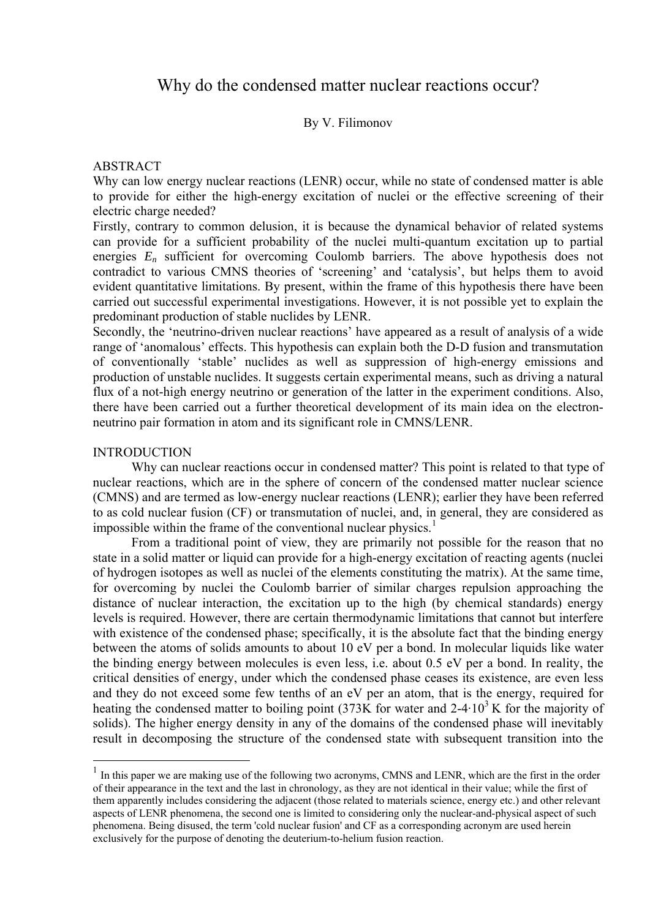# Why do the condensed matter nuclear reactions occur?

# By V. Filimonov

## ABSTRACT

Why can low energy nuclear reactions (LENR) occur, while no state of condensed matter is able to provide for either the high-energy excitation of nuclei or the effective screening of their electric charge needed?

Firstly, contrary to common delusion, it is because the dynamical behavior of related systems can provide for a sufficient probability of the nuclei multi-quantum excitation up to partial energies  $E_n$  sufficient for overcoming Coulomb barriers. The above hypothesis does not contradict to various CMNS theories of 'screening' and 'catalysis', but helps them to avoid evident quantitative limitations. By present, within the frame of this hypothesis there have been carried out successful experimental investigations. However, it is not possible yet to explain the predominant production of stable nuclides by LENR.

Secondly, the 'neutrino-driven nuclear reactions' have appeared as a result of analysis of a wide range of 'anomalous' effects. This hypothesis can explain both the D-D fusion and transmutation of conventionally 'stable' nuclides as well as suppression of high-energy emissions and production of unstable nuclides. It suggests certain experimental means, such as driving a natural flux of a not-high energy neutrino or generation of the latter in the experiment conditions. Also, there have been carried out a further theoretical development of its main idea on the electronneutrino pair formation in atom and its significant role in CMNS/LENR.

## INTRODUCTION

1

Why can nuclear reactions occur in condensed matter? This point is related to that type of nuclear reactions, which are in the sphere of concern of the condensed matter nuclear science (CMNS) and are termed as low-energy nuclear reactions (LENR); earlier they have been referred to as cold nuclear fusion (CF) or transmutation of nuclei, and, in general, they are considered as impossible within the frame of the conventional nuclear physics.<sup>[1](#page-0-0)</sup>

From a traditional point of view, they are primarily not possible for the reason that no state in a solid matter or liquid can provide for a high-energy excitation of reacting agents (nuclei of hydrogen isotopes as well as nuclei of the elements constituting the matrix). At the same time, for overcoming by nuclei the Coulomb barrier of similar charges repulsion approaching the distance of nuclear interaction, the excitation up to the high (by chemical standards) energy levels is required. However, there are certain thermodynamic limitations that cannot but interfere with existence of the condensed phase; specifically, it is the absolute fact that the binding energy between the atoms of solids amounts to about 10 eV per a bond. In molecular liquids like water the binding energy between molecules is even less, i.e. about 0.5 eV per a bond. In reality, the critical densities of energy, under which the condensed phase ceases its existence, are even less and they do not exceed some few tenths of an eV per an atom, that is the energy, required for heating the condensed matter to boiling point (373K for water and  $2-4.10<sup>3</sup>$  K for the majority of solids). The higher energy density in any of the domains of the condensed phase will inevitably result in decomposing the structure of the condensed state with subsequent transition into the

<span id="page-0-0"></span><sup>&</sup>lt;sup>1</sup> In this paper we are making use of the following two acronyms, CMNS and LENR, which are the first in the order of their appearance in the text and the last in chronology, as they are not identical in their value; while the first of them apparently includes considering the adjacent (those related to materials science, energy etc.) and other relevant aspects of LENR phenomena, the second one is limited to considering only the nuclear-and-physical aspect of such phenomena. Being disused, the term 'cold nuclear fusion' and CF as a corresponding acronym are used herein exclusively for the purpose of denoting the deuterium-to-helium fusion reaction.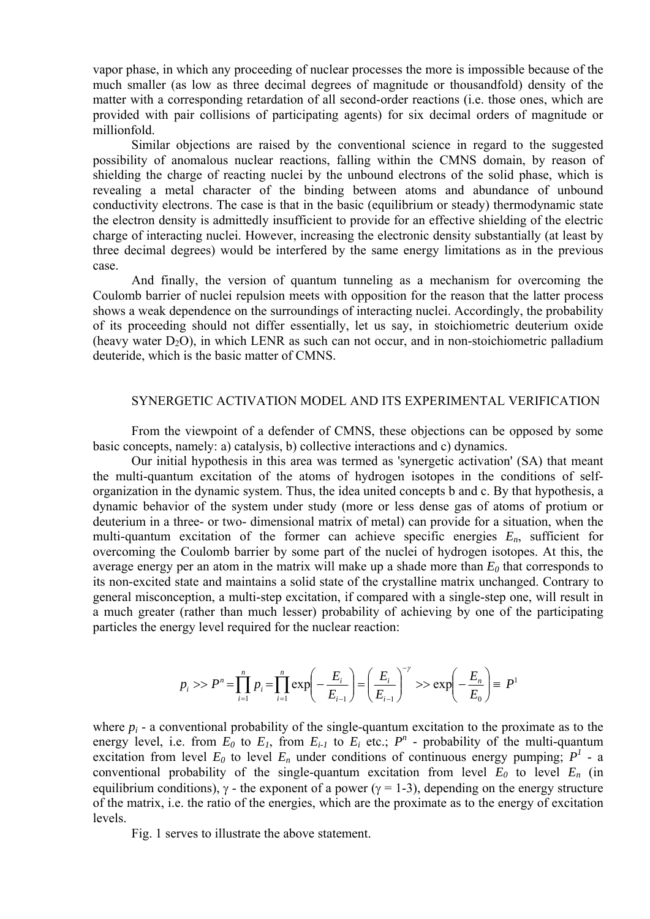vapor phase, in which any proceeding of nuclear processes the more is impossible because of the much smaller (as low as three decimal degrees of magnitude or thousandfold) density of the matter with a corresponding retardation of all second-order reactions (i.e. those ones, which are provided with pair collisions of participating agents) for six decimal orders of magnitude or millionfold.

Similar objections are raised by the conventional science in regard to the suggested possibility of anomalous nuclear reactions, falling within the CMNS domain, by reason of shielding the charge of reacting nuclei by the unbound electrons of the solid phase, which is revealing a metal character of the binding between atoms and abundance of unbound conductivity electrons. The case is that in the basic (equilibrium or steady) thermodynamic state the electron density is admittedly insufficient to provide for an effective shielding of the electric charge of interacting nuclei. However, increasing the electronic density substantially (at least by three decimal degrees) would be interfered by the same energy limitations as in the previous case.

And finally, the version of quantum tunneling as a mechanism for overcoming the Coulomb barrier of nuclei repulsion meets with opposition for the reason that the latter process shows a weak dependence on the surroundings of interacting nuclei. Accordingly, the probability of its proceeding should not differ essentially, let us say, in stoichiometric deuterium oxide (heavy water  $D_2O$ ), in which LENR as such can not occur, and in non-stoichiometric palladium deuteride, which is the basic matter of CMNS.

## SYNERGETIC ACTIVATION MODEL AND ITS EXPERIMENTAL VERIFICATION

From the viewpoint of a defender of CMNS, these objections can be opposed by some basic concepts, namely: a) catalysis, b) collective interactions and c) dynamics.

Our initial hypothesis in this area was termed as 'synergetic activation' (SA) that meant the multi-quantum excitation of the atoms of hydrogen isotopes in the conditions of selforganization in the dynamic system. Thus, the idea united concepts b and c. By that hypothesis, a dynamic behavior of the system under study (more or less dense gas of atoms of protium or deuterium in a three- or two- dimensional matrix of metal) can provide for a situation, when the multi-quantum excitation of the former can achieve specific energies  $E_n$ , sufficient for overcoming the Coulomb barrier by some part of the nuclei of hydrogen isotopes. At this, the average energy per an atom in the matrix will make up a shade more than  $E_0$  that corresponds to its non-excited state and maintains a solid state of the crystalline matrix unchanged. Contrary to general misconception, a multi-step excitation, if compared with a single-step one, will result in a much greater (rather than much lesser) probability of achieving by one of the participating particles the energy level required for the nuclear reaction:

$$
p_i \gg P^n = \prod_{i=1}^n p_i = \prod_{i=1}^n \exp\left(-\frac{E_i}{E_{i-1}}\right) = \left(\frac{E_i}{E_{i-1}}\right)^{-\gamma} \gg \exp\left(-\frac{E_n}{E_0}\right) = P^1
$$

where  $p_i$  - a conventional probability of the single-quantum excitation to the proximate as to the energy level, i.e. from  $E_0$  to  $E_1$ , from  $E_{i-1}$  to  $E_i$  etc.;  $P^n$  - probability of the multi-quantum excitation from level  $E_0$  to level  $E_n$  under conditions of continuous energy pumping;  $P^1$  - a conventional probability of the single-quantum excitation from level  $E_0$  to level  $E_n$  (in equilibrium conditions),  $\gamma$  - the exponent of a power ( $\gamma = 1$ -3), depending on the energy structure of the matrix, i.e. the ratio of the energies, which are the proximate as to the energy of excitation levels.

Fig. 1 serves to illustrate the above statement.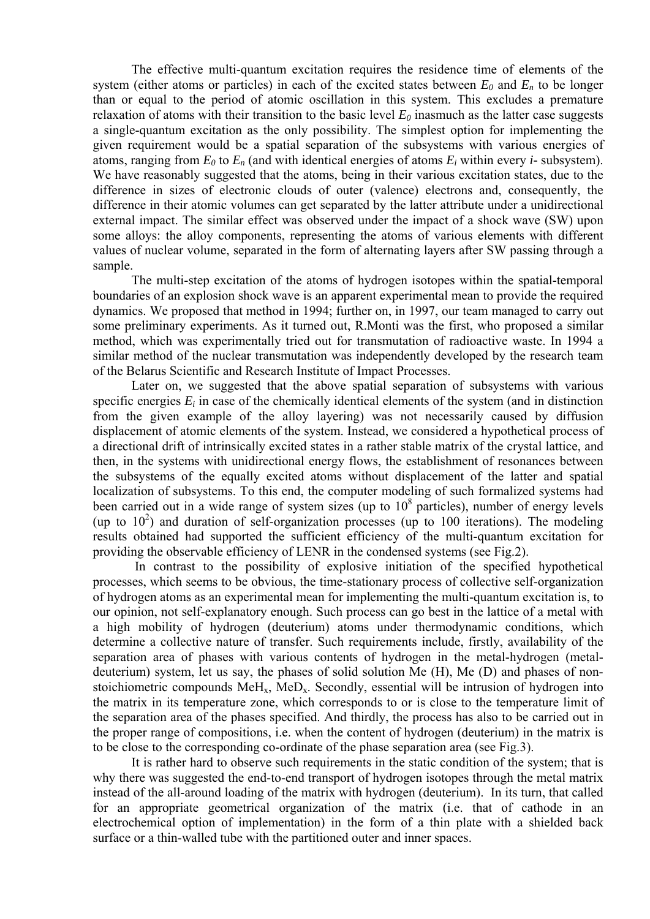The effective multi-quantum excitation requires the residence time of elements of the system (either atoms or particles) in each of the excited states between  $E_0$  and  $E_n$  to be longer than or equal to the period of atomic oscillation in this system. This excludes a premature relaxation of atoms with their transition to the basic level  $E_0$  inasmuch as the latter case suggests a single-quantum excitation as the only possibility. The simplest option for implementing the given requirement would be a spatial separation of the subsystems with various energies of atoms, ranging from  $E_0$  to  $E_n$  (and with identical energies of atoms  $E_i$  within every *i*- subsystem). We have reasonably suggested that the atoms, being in their various excitation states, due to the difference in sizes of electronic clouds of outer (valence) electrons and, consequently, the difference in their atomic volumes can get separated by the latter attribute under a unidirectional external impact. The similar effect was observed under the impact of a shock wave (SW) upon some alloys: the alloy components, representing the atoms of various elements with different values of nuclear volume, separated in the form of alternating layers after SW passing through a sample.

The multi-step excitation of the atoms of hydrogen isotopes within the spatial-temporal boundaries of an explosion shock wave is an apparent experimental mean to provide the required dynamics. We proposed that method in 1994; further on, in 1997, our team managed to carry out some preliminary experiments. As it turned out, R.Monti was the first, who proposed a similar method, which was experimentally tried out for transmutation of radioactive waste. In 1994 a similar method of the nuclear transmutation was independently developed by the research team of the Belarus Scientific and Research Institute of Impact Processes.

Later on, we suggested that the above spatial separation of subsystems with various specific energies  $E_i$  in case of the chemically identical elements of the system (and in distinction from the given example of the alloy layering) was not necessarily caused by diffusion displacement of atomic elements of the system. Instead, we considered a hypothetical process of a directional drift of intrinsically excited states in a rather stable matrix of the crystal lattice, and then, in the systems with unidirectional energy flows, the establishment of resonances between the subsystems of the equally excited atoms without displacement of the latter and spatial localization of subsystems. To this end, the computer modeling of such formalized systems had been carried out in a wide range of system sizes (up to  $10^8$  particles), number of energy levels (up to  $10<sup>2</sup>$ ) and duration of self-organization processes (up to  $100$  iterations). The modeling results obtained had supported the sufficient efficiency of the multi-quantum excitation for providing the observable efficiency of LENR in the condensed systems (see Fig.2).

 In contrast to the possibility of explosive initiation of the specified hypothetical processes, which seems to be obvious, the time-stationary process of collective self-organization of hydrogen atoms as an experimental mean for implementing the multi-quantum excitation is, to our opinion, not self-explanatory enough. Such process can go best in the lattice of a metal with a high mobility of hydrogen (deuterium) atoms under thermodynamic conditions, which determine a collective nature of transfer. Such requirements include, firstly, availability of the separation area of phases with various contents of hydrogen in the metal-hydrogen (metaldeuterium) system, let us say, the phases of solid solution Me (H), Me (D) and phases of nonstoichiometric compounds  $M_fH_x$ ,  $M_fD_x$ . Secondly, essential will be intrusion of hydrogen into the matrix in its temperature zone, which corresponds to or is close to the temperature limit of the separation area of the phases specified. And thirdly, the process has also to be carried out in the proper range of compositions, i.e. when the content of hydrogen (deuterium) in the matrix is to be close to the corresponding co-ordinate of the phase separation area (see Fig.3).

It is rather hard to observe such requirements in the static condition of the system; that is why there was suggested the end-to-end transport of hydrogen isotopes through the metal matrix instead of the all-around loading of the matrix with hydrogen (deuterium). In its turn, that called for an appropriate geometrical organization of the matrix (i.e. that of cathode in an electrochemical option of implementation) in the form of a thin plate with a shielded back surface or a thin-walled tube with the partitioned outer and inner spaces.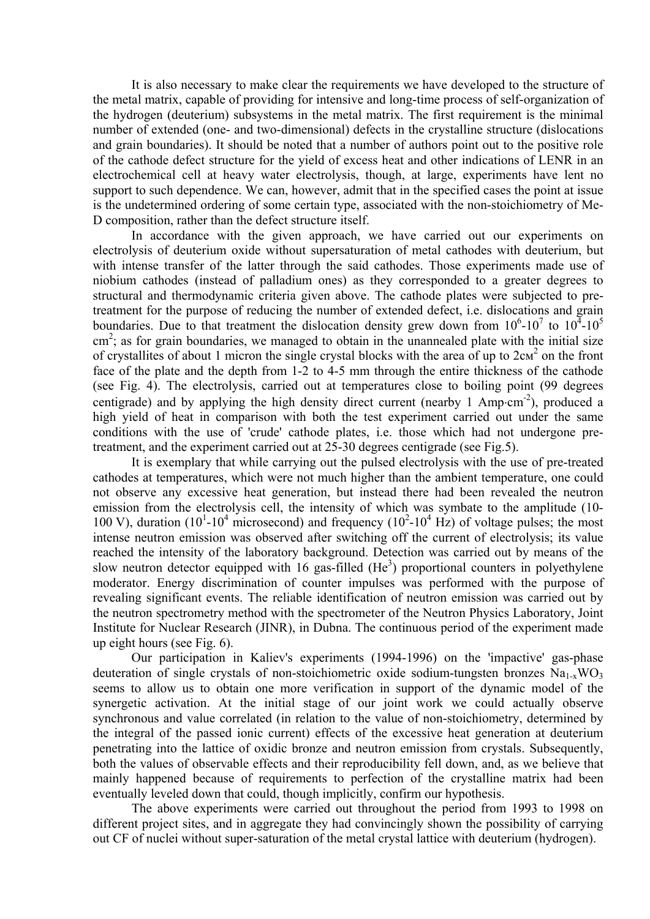It is also necessary to make clear the requirements we have developed to the structure of the metal matrix, capable of providing for intensive and long-time process of self-organization of the hydrogen (deuterium) subsystems in the metal matrix. The first requirement is the minimal number of extended (one- and two-dimensional) defects in the crystalline structure (dislocations and grain boundaries). It should be noted that a number of authors point out to the positive role of the cathode defect structure for the yield of excess heat and other indications of LENR in an electrochemical cell at heavy water electrolysis, though, at large, experiments have lent no support to such dependence. We can, however, admit that in the specified cases the point at issue is the undetermined ordering of some certain type, associated with the non-stoichiometry of Me-D composition, rather than the defect structure itself.

In accordance with the given approach, we have carried out our experiments on electrolysis of deuterium oxide without supersaturation of metal cathodes with deuterium, but with intense transfer of the latter through the said cathodes. Those experiments made use of niobium cathodes (instead of palladium ones) as they corresponded to a greater degrees to structural and thermodynamic criteria given above. The cathode plates were subjected to pretreatment for the purpose of reducing the number of extended defect, i.e. dislocations and grain boundaries. Due to that treatment the dislocation density grew down from  $10^6$ - $10^7$  to  $10^4$ - $10^5$ cm<sup>2</sup>; as for grain boundaries, we managed to obtain in the unannealed plate with the initial size of crystallites of about 1 micron the single crystal blocks with the area of up to  $2c<sup>2</sup>$  on the front face of the plate and the depth from 1-2 to 4-5 mm through the entire thickness of the cathode (see Fig. 4). The electrolysis, carried out at temperatures close to boiling point (99 degrees centigrade) and by applying the high density direct current (nearby 1 Amp⋅cm<sup>-2</sup>), produced a high yield of heat in comparison with both the test experiment carried out under the same conditions with the use of 'crude' cathode plates, i.e. those which had not undergone pretreatment, and the experiment carried out at 25-30 degrees centigrade (see Fig.5).

It is exemplary that while carrying out the pulsed electrolysis with the use of pre-treated cathodes at temperatures, which were not much higher than the ambient temperature, one could not observe any excessive heat generation, but instead there had been revealed the neutron emission from the electrolysis cell, the intensity of which was symbate to the amplitude (10- 100 V), duration ( $10^{1}$ - $10^{4}$  microsecond) and frequency ( $10^{2}$ - $10^{4}$  Hz) of voltage pulses; the most intense neutron emission was observed after switching off the current of electrolysis; its value reached the intensity of the laboratory background. Detection was carried out by means of the slow neutron detector equipped with 16 gas-filled  $(He<sup>3</sup>)$  proportional counters in polyethylene moderator. Energy discrimination of counter impulses was performed with the purpose of revealing significant events. The reliable identification of neutron emission was carried out by the neutron spectrometry method with the spectrometer of the Neutron Physics Laboratory, Joint Institute for Nuclear Research (JINR), in Dubna. The continuous period of the experiment made up eight hours (see Fig. 6).

Our participation in Kaliev's experiments (1994-1996) on the 'impactive' gas-phase deuteration of single crystals of non-stoichiometric oxide sodium-tungsten bronzes  $Na_{1-x}WO_3$ seems to allow us to obtain one more verification in support of the dynamic model of the synergetic activation. At the initial stage of our joint work we could actually observe synchronous and value correlated (in relation to the value of non-stoichiometry, determined by the integral of the passed ionic current) effects of the excessive heat generation at deuterium penetrating into the lattice of oxidic bronze and neutron emission from crystals. Subsequently, both the values of observable effects and their reproducibility fell down, and, as we believe that mainly happened because of requirements to perfection of the crystalline matrix had been eventually leveled down that could, though implicitly, confirm our hypothesis.

The above experiments were carried out throughout the period from 1993 to 1998 on different project sites, and in aggregate they had convincingly shown the possibility of carrying out CF of nuclei without super-saturation of the metal crystal lattice with deuterium (hydrogen).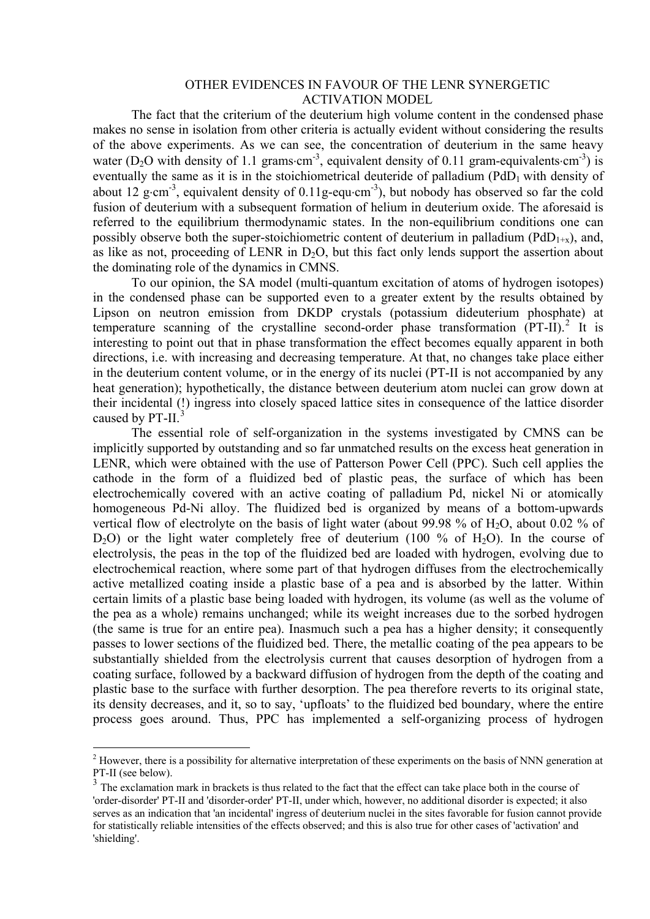#### OTHER EVIDENCES IN FAVOUR OF THE LENR SYNERGETIC ACTIVATION MODEL

The fact that the criterium of the deuterium high volume content in the condensed phase makes no sense in isolation from other criteria is actually evident without considering the results of the above experiments. As we can see, the concentration of deuterium in the same heavy water (D<sub>2</sub>O with density of 1.1 grams⋅cm<sup>-3</sup>, equivalent density of 0.11 gram-equivalents⋅cm<sup>-3</sup>) is eventually the same as it is in the stoichiometrical deuteride of palladium  $(PdD<sub>1</sub>$  with density of about 12 g⋅cm<sup>-3</sup>, equivalent density of 0.11g-equ⋅cm<sup>-3</sup>), but nobody has observed so far the cold fusion of deuterium with a subsequent formation of helium in deuterium oxide. The aforesaid is referred to the equilibrium thermodynamic states. In the non-equilibrium conditions one can possibly observe both the super-stoichiometric content of deuterium in palladium ( $PdD<sub>1+x</sub>$ ), and, as like as not, proceeding of LENR in  $D_2O$ , but this fact only lends support the assertion about the dominating role of the dynamics in CMNS.

To our opinion, the SA model (multi-quantum excitation of atoms of hydrogen isotopes) in the condensed phase can be supported even to a greater extent by the results obtained by Lipson on neutron emission from DKDP crystals (potassium dideuterium phosphate) at temperature scanning of the crystalline second-order phase transformation  $(PT-II)$ .<sup>[2](#page-4-0)</sup> It is interesting to point out that in phase transformation the effect becomes equally apparent in both directions, i.e. with increasing and decreasing temperature. At that, no changes take place either in the deuterium content volume, or in the energy of its nuclei (PT-II is not accompanied by any heat generation); hypothetically, the distance between deuterium atom nuclei can grow down at their incidental (!) ingress into closely spaced lattice sites in consequence of the lattice disorder caused by PT-II.<sup>[3](#page-4-1)</sup>

The essential role of self-organization in the systems investigated by CMNS can be implicitly supported by outstanding and so far unmatched results on the excess heat generation in LENR, which were obtained with the use of Patterson Power Cell (PPC). Such cell applies the cathode in the form of a fluidized bed of plastic peas, the surface of which has been electrochemically covered with an active coating of palladium Pd, nickel Ni or atomically homogeneous Pd-Ni alloy. The fluidized bed is organized by means of a bottom-upwards vertical flow of electrolyte on the basis of light water (about 99.98  $\%$  of H<sub>2</sub>O, about 0.02  $\%$  of  $D_2O$ ) or the light water completely free of deuterium (100 % of H<sub>2</sub>O). In the course of electrolysis, the peas in the top of the fluidized bed are loaded with hydrogen, evolving due to electrochemical reaction, where some part of that hydrogen diffuses from the electrochemically active metallized coating inside a plastic base of a pea and is absorbed by the latter. Within certain limits of a plastic base being loaded with hydrogen, its volume (as well as the volume of the pea as a whole) remains unchanged; while its weight increases due to the sorbed hydrogen (the same is true for an entire pea). Inasmuch such a pea has a higher density; it consequently passes to lower sections of the fluidized bed. There, the metallic coating of the pea appears to be substantially shielded from the electrolysis current that causes desorption of hydrogen from a coating surface, followed by a backward diffusion of hydrogen from the depth of the coating and plastic base to the surface with further desorption. The pea therefore reverts to its original state, its density decreases, and it, so to say, 'upfloats' to the fluidized bed boundary, where the entire process goes around. Thus, PPC has implemented a self-organizing process of hydrogen

1

<span id="page-4-0"></span> $2$  However, there is a possibility for alternative interpretation of these experiments on the basis of NNN generation at PT-II (see below).

<span id="page-4-1"></span><sup>&</sup>lt;sup>3</sup> The exclamation mark in brackets is thus related to the fact that the effect can take place both in the course of 'order-disorder' PT-II and 'disorder-order' PT-II, under which, however, no additional disorder is expected; it also serves as an indication that 'an incidental' ingress of deuterium nuclei in the sites favorable for fusion cannot provide for statistically reliable intensities of the effects observed; and this is also true for other cases of 'activation' and 'shielding'.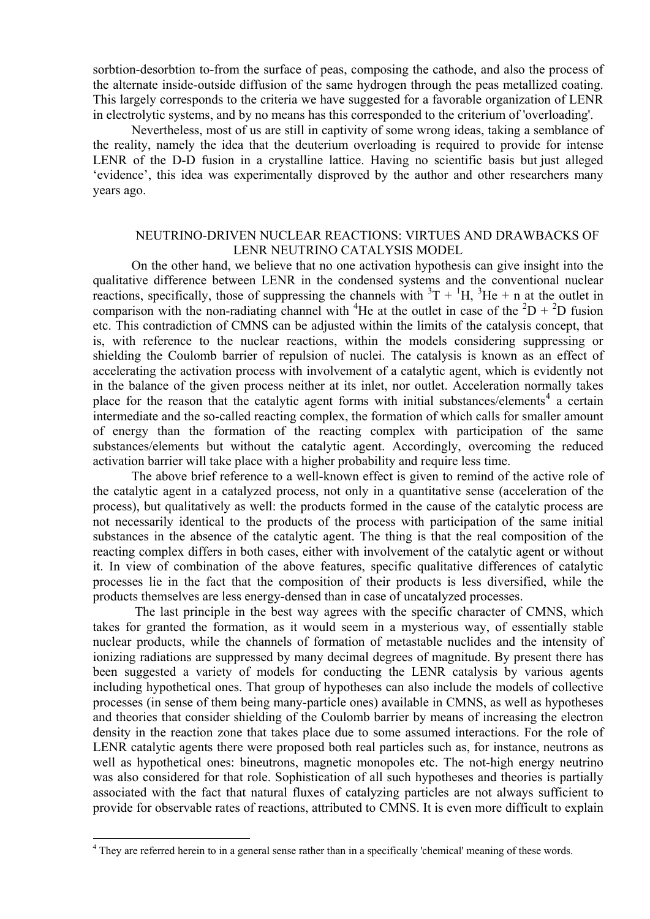sorbtion-desorbtion to-from the surface of peas, composing the cathode, and also the process of the alternate inside-outside diffusion of the same hydrogen through the peas metallized coating. This largely corresponds to the criteria we have suggested for a favorable organization of LENR in electrolytic systems, and by no means has this corresponded to the criterium of 'overloading'.

Nevertheless, most of us are still in captivity of some wrong ideas, taking a semblance of the reality, namely the idea that the deuterium overloading is required to provide for intense LENR of the D-D fusion in a crystalline lattice. Having no scientific basis but just alleged 'evidence', this idea was experimentally disproved by the author and other researchers many years ago.

## NEUTRINO-DRIVEN NUCLEAR REACTIONS: VIRTUES AND DRAWBACKS OF LENR NEUTRINO CATALYSIS MODEL

On the other hand, we believe that no one activation hypothesis can give insight into the qualitative difference between LENR in the condensed systems and the conventional nuclear reactions, specifically, those of suppressing the channels with  ${}^{3}T + {}^{1}H$ ,  ${}^{3}He + n$  at the outlet in comparison with the non-radiating channel with <sup>4</sup>He at the outlet in case of the <sup>2</sup>D + <sup>2</sup>D fusion etc. This contradiction of CMNS can be adjusted within the limits of the catalysis concept, that is, with reference to the nuclear reactions, within the models considering suppressing or shielding the Coulomb barrier of repulsion of nuclei. The catalysis is known as an effect of accelerating the activation process with involvement of a catalytic agent, which is evidently not in the balance of the given process neither at its inlet, nor outlet. Acceleration normally takes place for the reason that the catalytic agent forms with initial substances/elements<sup>[4](#page-5-0)</sup> a certain intermediate and the so-called reacting complex, the formation of which calls for smaller amount of energy than the formation of the reacting complex with participation of the same substances/elements but without the catalytic agent. Accordingly, overcoming the reduced activation barrier will take place with a higher probability and require less time.

The above brief reference to a well-known effect is given to remind of the active role of the catalytic agent in a catalyzed process, not only in a quantitative sense (acceleration of the process), but qualitatively as well: the products formed in the cause of the catalytic process are not necessarily identical to the products of the process with participation of the same initial substances in the absence of the catalytic agent. The thing is that the real composition of the reacting complex differs in both cases, either with involvement of the catalytic agent or without it. In view of combination of the above features, specific qualitative differences of catalytic processes lie in the fact that the composition of their products is less diversified, while the products themselves are less energy-densed than in case of uncatalyzed processes.

 The last principle in the best way agrees with the specific character of CMNS, which takes for granted the formation, as it would seem in a mysterious way, of essentially stable nuclear products, while the channels of formation of metastable nuclides and the intensity of ionizing radiations are suppressed by many decimal degrees of magnitude. By present there has been suggested a variety of models for conducting the LENR catalysis by various agents including hypothetical ones. That group of hypotheses can also include the models of collective processes (in sense of them being many-particle ones) available in CMNS, as well as hypotheses and theories that consider shielding of the Coulomb barrier by means of increasing the electron density in the reaction zone that takes place due to some assumed interactions. For the role of LENR catalytic agents there were proposed both real particles such as, for instance, neutrons as well as hypothetical ones: bineutrons, magnetic monopoles etc. The not-high energy neutrino was also considered for that role. Sophistication of all such hypotheses and theories is partially associated with the fact that natural fluxes of catalyzing particles are not always sufficient to provide for observable rates of reactions, attributed to CMNS. It is even more difficult to explain

1

<span id="page-5-0"></span><sup>&</sup>lt;sup>4</sup> They are referred herein to in a general sense rather than in a specifically 'chemical' meaning of these words.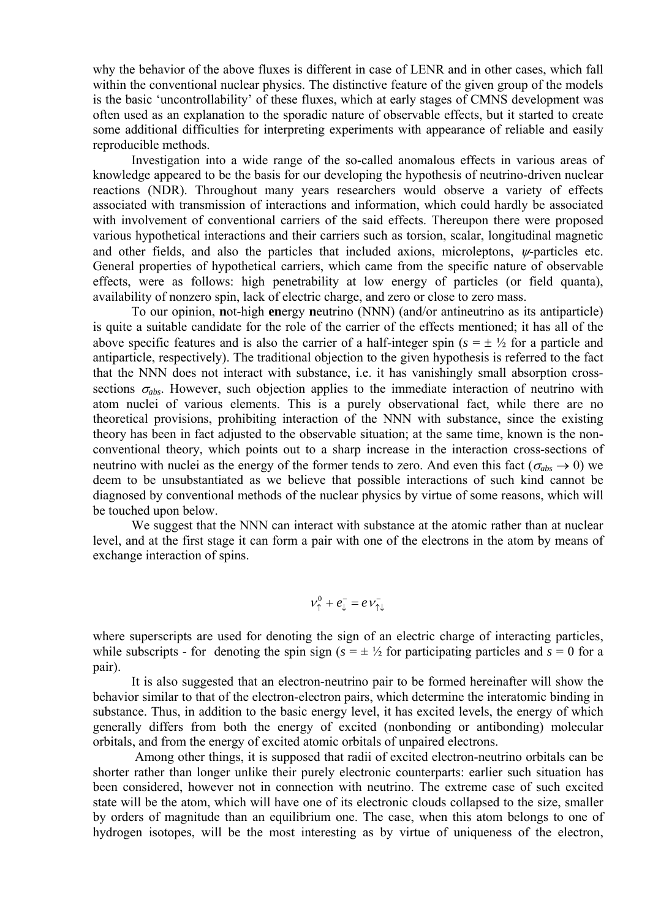why the behavior of the above fluxes is different in case of LENR and in other cases, which fall within the conventional nuclear physics. The distinctive feature of the given group of the models is the basic 'uncontrollability' of these fluxes, which at early stages of CMNS development was often used as an explanation to the sporadic nature of observable effects, but it started to create some additional difficulties for interpreting experiments with appearance of reliable and easily reproducible methods.

Investigation into a wide range of the so-called anomalous effects in various areas of knowledge appeared to be the basis for our developing the hypothesis of neutrino-driven nuclear reactions (NDR). Throughout many years researchers would observe a variety of effects associated with transmission of interactions and information, which could hardly be associated with involvement of conventional carriers of the said effects. Thereupon there were proposed various hypothetical interactions and their carriers such as torsion, scalar, longitudinal magnetic and other fields, and also the particles that included axions, microleptons, ψ-particles etc. General properties of hypothetical carriers, which came from the specific nature of observable effects, were as follows: high penetrability at low energy of particles (or field quanta), availability of nonzero spin, lack of electric charge, and zero or close to zero mass.

To our opinion, **n**ot-high **en**ergy **n**eutrino (NNN) (and/or antineutrino as its antiparticle) is quite a suitable candidate for the role of the carrier of the effects mentioned; it has all of the above specific features and is also the carrier of a half-integer spin ( $s = \pm \frac{1}{2}$  for a particle and antiparticle, respectively). The traditional objection to the given hypothesis is referred to the fact that the NNN does not interact with substance, i.e. it has vanishingly small absorption crosssections  $\sigma_{abs}$ . However, such objection applies to the immediate interaction of neutrino with atom nuclei of various elements. This is a purely observational fact, while there are no theoretical provisions, prohibiting interaction of the NNN with substance, since the existing theory has been in fact adjusted to the observable situation; at the same time, known is the nonconventional theory, which points out to a sharp increase in the interaction cross-sections of neutrino with nuclei as the energy of the former tends to zero. And even this fact ( $\sigma_{abs} \rightarrow 0$ ) we deem to be unsubstantiated as we believe that possible interactions of such kind cannot be diagnosed by conventional methods of the nuclear physics by virtue of some reasons, which will be touched upon below.

We suggest that the NNN can interact with substance at the atomic rather than at nuclear level, and at the first stage it can form a pair with one of the electrons in the atom by means of exchange interaction of spins.

$$
v_{\uparrow}^0 + e_{\downarrow}^- = e v_{\uparrow\downarrow}^-
$$

where superscripts are used for denoting the sign of an electric charge of interacting particles, while subscripts - for denoting the spin sign  $(s = \pm \frac{1}{2})$  for participating particles and  $s = 0$  for a pair).

It is also suggested that an electron-neutrino pair to be formed hereinafter will show the behavior similar to that of the electron-electron pairs, which determine the interatomic binding in substance. Thus, in addition to the basic energy level, it has excited levels, the energy of which generally differs from both the energy of excited (nonbonding or antibonding) molecular orbitals, and from the energy of excited atomic orbitals of unpaired electrons.

 Among other things, it is supposed that radii of excited electron-neutrino orbitals can be shorter rather than longer unlike their purely electronic counterparts: earlier such situation has been considered, however not in connection with neutrino. The extreme case of such excited state will be the atom, which will have one of its electronic clouds collapsed to the size, smaller by orders of magnitude than an equilibrium one. The case, when this atom belongs to one of hydrogen isotopes, will be the most interesting as by virtue of uniqueness of the electron,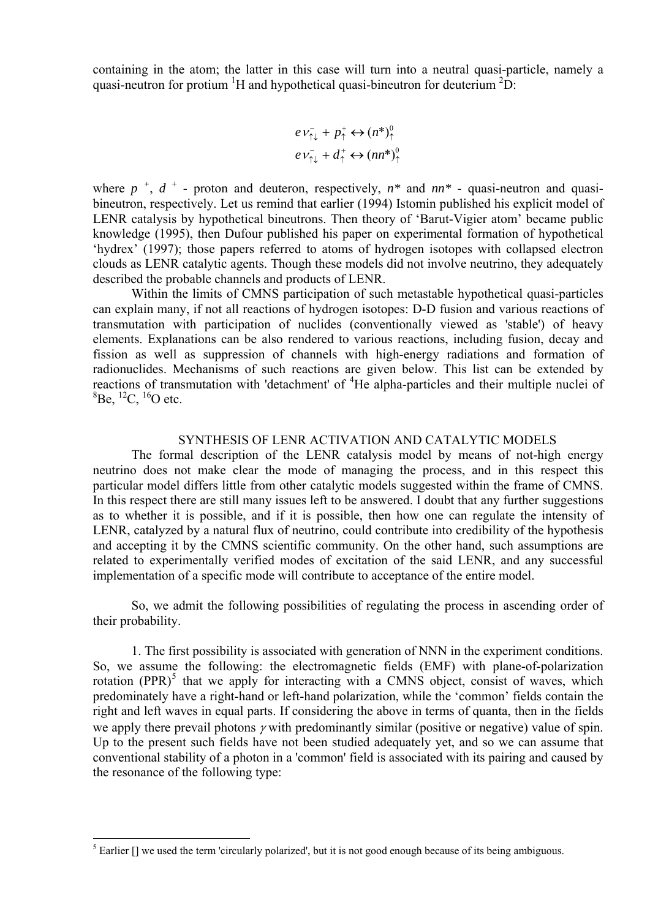containing in the atom; the latter in this case will turn into a neutral quasi-particle, namely a quasi-neutron for protium  ${}^{1}H$  and hypothetical quasi-bineutron for deuterium  ${}^{2}D$ :

$$
eV_{\uparrow\downarrow}^{-} + p_{\uparrow}^{+} \leftrightarrow (n^{*})_{\uparrow}^{0}
$$

$$
eV_{\uparrow\downarrow}^{-} + d_{\uparrow}^{+} \leftrightarrow (nn^{*})_{\uparrow}^{0}
$$

where  $p^{+}$ ,  $d^{+}$  - proton and deuteron, respectively,  $n^{*}$  and  $nn^{*}$  - quasi-neutron and quasibineutron, respectively. Let us remind that earlier (1994) Istomin published his explicit model of LENR catalysis by hypothetical bineutrons. Then theory of 'Barut-Vigier atom' became public knowledge (1995), then Dufour published his paper on experimental formation of hypothetical 'hydrex' (1997); those papers referred to atoms of hydrogen isotopes with collapsed electron clouds as LENR catalytic agents. Though these models did not involve neutrino, they adequately described the probable channels and products of LENR.

Within the limits of CMNS participation of such metastable hypothetical quasi-particles can explain many, if not all reactions of hydrogen isotopes: D-D fusion and various reactions of transmutation with participation of nuclides (conventionally viewed as 'stable') of heavy elements. Explanations can be also rendered to various reactions, including fusion, decay and fission as well as suppression of channels with high-energy radiations and formation of radionuclides. Mechanisms of such reactions are given below. This list can be extended by reactions of transmutation with 'detachment' of <sup>4</sup>He alpha-particles and their multiple nuclei of  ${}^{8}$ Be,  ${}^{12}$ C,  ${}^{16}$ O etc.

# SYNTHESIS OF LENR ACTIVATION AND CATALYTIC MODELS

The formal description of the LENR catalysis model by means of not-high energy neutrino does not make clear the mode of managing the process, and in this respect this particular model differs little from other catalytic models suggested within the frame of CMNS. In this respect there are still many issues left to be answered. I doubt that any further suggestions as to whether it is possible, and if it is possible, then how one can regulate the intensity of LENR, catalyzed by a natural flux of neutrino, could contribute into credibility of the hypothesis and accepting it by the CMNS scientific community. On the other hand, such assumptions are related to experimentally verified modes of excitation of the said LENR, and any successful implementation of a specific mode will contribute to acceptance of the entire model.

So, we admit the following possibilities of regulating the process in ascending order of their probability.

1. The first possibility is associated with generation of NNN in the experiment conditions. So, we assume the following: the electromagnetic fields (EMF) with plane-of-polarization rotation  $(PPR)^5$  $(PPR)^5$  that we apply for interacting with a CMNS object, consist of waves, which predominately have a right-hand or left-hand polarization, while the 'common' fields contain the right and left waves in equal parts. If considering the above in terms of quanta, then in the fields we apply there prevail photons  $\gamma$  with predominantly similar (positive or negative) value of spin. Up to the present such fields have not been studied adequately yet, and so we can assume that conventional stability of a photon in a 'common' field is associated with its pairing and caused by the resonance of the following type:

1

<span id="page-7-0"></span> $<sup>5</sup>$  Earlier [] we used the term 'circularly polarized', but it is not good enough because of its being ambiguous.</sup>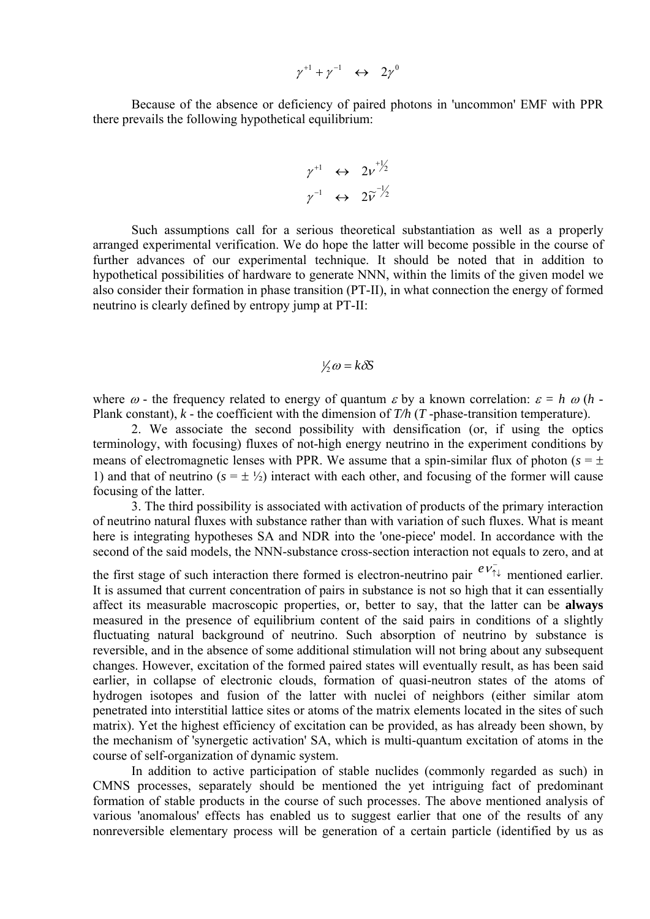$$
\gamma^{+1} + \gamma^{-1} \quad \leftrightarrow \quad 2\gamma^{0}
$$

Because of the absence or deficiency of paired photons in 'uncommon' EMF with PPR there prevails the following hypothetical equilibrium:

$$
\begin{array}{ccc}\n\gamma^{+1} & \leftrightarrow & 2\nu^{+1/2} \\
\gamma^{-1} & \leftrightarrow & 2\widetilde{\nu}^{-1/2}\n\end{array}
$$

also consider their formation in phase transition (PT-II), in what connection the energy of formed neutrino is clearly defined by entropy jump at PT-II: Such assumptions call for a serious theoretical substantiation as well as a properly arranged experimental verification. We do hope the latter will become possible in the course of further advances of our experimental technique. It should be noted that in addition to hypothetical possibilities of hardware to generate NNN, within the limits of the given model we

# $\frac{1}{2}\omega = k\delta S$

where  $\omega$  - the frequency related to energy of quantum  $\varepsilon$  by a known correlation:  $\varepsilon = h \omega (h - h)$ Plank constant), *k* - the coefficient with the dimension of *T/h* (*T* -phase-transition temperature).

2. We associate the second possibility with densification (or, if using the optics terminology, with focusing) fluxes of not-high energy neutrino in the experiment conditions by means of electromagnetic lenses with PPR. We assume that a spin-similar flux of photon ( $s = \pm$ ) 1) and that of neutrino  $(s = \pm \frac{1}{2})$  interact with each other, and focusing of the former will cause focusing of the latter.

3. The third possibility is associated with activation of products of the primary interaction of neutrino natural fluxes with substance rather than with variation of such fluxes. What is meant here is integrating hypotheses SA and NDR into the 'one-piece' model. In accordance with the second of the said models, the NNN-substance cross-section interaction not equals to zero, and at

the first stage of such interaction there formed is electron-neutrino pair  $e^{i\phi}$  mentioned earlier. It is assumed that current concentration of pairs in substance is not so high that it can essentially affect its measurable macroscopic properties, or, better to say, that the latter can be **always** measured in the presence of equilibrium content of the said pairs in conditions of a slightly fluctuating natural background of neutrino. Such absorption of neutrino by substance is reversible, and in the absence of some additional stimulation will not bring about any subsequent changes. However, excitation of the formed paired states will eventually result, as has been said earlier, in collapse of electronic clouds, formation of quasi-neutron states of the atoms of hydrogen isotopes and fusion of the latter with nuclei of neighbors (either similar atom penetrated into interstitial lattice sites or atoms of the matrix elements located in the sites of such matrix). Yet the highest efficiency of excitation can be provided, as has already been shown, by the mechanism of 'synergetic activation' SA, which is multi-quantum excitation of atoms in the course of self-organization of dynamic system.

In addition to active participation of stable nuclides (commonly regarded as such) in CMNS processes, separately should be mentioned the yet intriguing fact of predominant formation of stable products in the course of such processes. The above mentioned analysis of various 'anomalous' effects has enabled us to suggest earlier that one of the results of any nonreversible elementary process will be generation of a certain particle (identified by us as